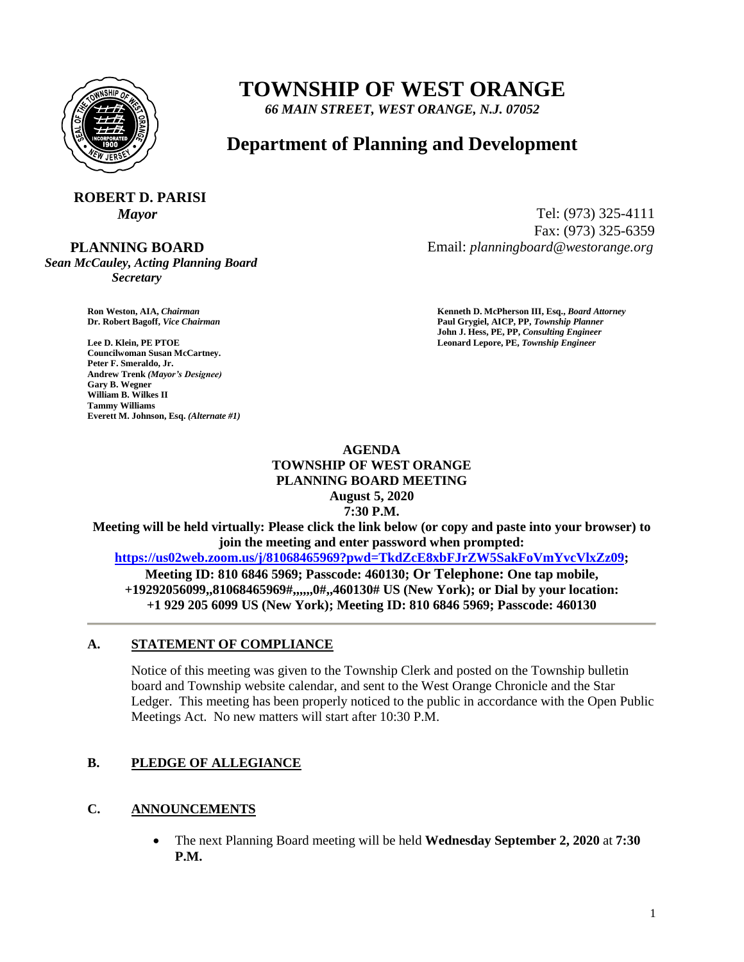

## **TOWNSHIP OF WEST ORANGE**

*66 MAIN STREET, WEST ORANGE, N.J. 07052*

### **Department of Planning and Development**

# **ROBERT D. PARISI**

 **PLANNING BOARD**

*Sean McCauley, Acting Planning Board Secretary*

**Councilwoman Susan McCartney. Peter F. Smeraldo, Jr. Andrew Trenk** *(Mayor's Designee)* **Gary B. Wegner William B. Wilkes II Tammy Williams Everett M. Johnson, Esq.** *(Alternate #1)*

*Mayor* Tel: (973) 325-4111 Fax: (973) 325-6359 Email: *planningboard@westorange.org*

**Ron Weston, AIA,** *Chairman* **Kenneth D. McPherson III, Esq.,** *Board Attorney* **Dr. Robert Bagoff,** *Vice Chairman* **Paul Grygiel, AICP, PP,** *Township Planner* **John J. Hess, PE, PP,** *Consulting Engineer* **Lee D. Klein, PE PTOE Leonard Lepore, PE,** *Township Engineer*

#### **AGENDA TOWNSHIP OF WEST ORANGE PLANNING BOARD MEETING August 5, 2020 7:30 P.M.**

**Meeting will be held virtually: Please click the link below (or copy and paste into your browser) to join the meeting and enter password when prompted: [https://us02web.zoom.us/j/81068465969?pwd=TkdZcE8xbFJrZW5SakFoVmYvcVlxZz09;](https://us02web.zoom.us/j/81068465969?pwd=TkdZcE8xbFJrZW5SakFoVmYvcVlxZz09) Meeting ID: 810 6846 5969; Passcode: 460130; Or Telephone: One tap mobile,**

**+19292056099,,81068465969#,,,,,,0#,,460130# US (New York); or Dial by your location: +1 929 205 6099 US (New York); Meeting ID: 810 6846 5969; Passcode: 460130**

#### **A. STATEMENT OF COMPLIANCE**

Notice of this meeting was given to the Township Clerk and posted on the Township bulletin board and Township website calendar, and sent to the West Orange Chronicle and the Star Ledger. This meeting has been properly noticed to the public in accordance with the Open Public Meetings Act. No new matters will start after 10:30 P.M.

#### **B. PLEDGE OF ALLEGIANCE**

#### **C. ANNOUNCEMENTS**

 The next Planning Board meeting will be held **Wednesday September 2, 2020** at **7:30 P.M.**